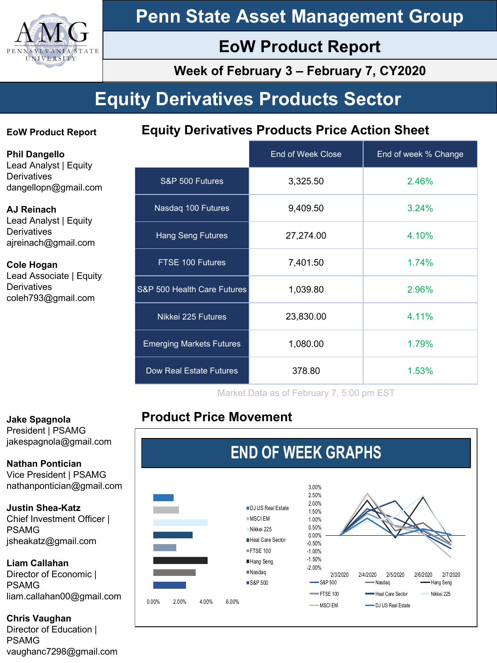

# **Penn State Asset Management Group**

# **EoW Product Report**

**Week of February 3 – February 7, CY2020**

# **Equity Derivatives Products Sector**

### **EoW Product Report**

**Equity Derivatives Products Price Action Sheet**

**Phil Dangello** Lead Analyst | Equity **Derivatives** dangellopn@gmail.com

#### **AJ Reinach**

Lead Analyst | Equity **Derivatives** ajreinach@gmail.com

#### **Cole Hogan** Lead Associate | Equity **Derivatives** coleh793@gmail.com

|                                 | <b>End of Week Close</b> | End of week % Change |
|---------------------------------|--------------------------|----------------------|
| S&P 500 Futures                 | 3,325.50                 | 2.46%                |
| Nasdag 100 Futures              | 9,409.50                 | 3.24%                |
| <b>Hang Seng Futures</b>        | 27,274.00                | 4.10%                |
| FTSE 100 Futures                | 7,401.50                 | 1.74%                |
| S&P 500 Health Care Futures     | 1,039.80                 | 2.96%                |
| Nikkei 225 Futures              | 23,830.00                | 4.11%                |
| <b>Emerging Markets Futures</b> | 1,080.00                 | 1.79%                |
| Dow Real Estate Futures         | 378.80                   | 1.53%                |

Market Data as of February 7, 5:00 pm EST

# **Product Price Movement**



### **Jake Spagnola**

President | PSAMG jakespagnola@gmail.com

**Nathan Pontician** Vice President | PSAMG nathanpontician@gmail.com

#### **Justin Shea-Katz**

Chief Investment Officer | PSAMG jsheakatz@gmail.com

#### **Liam Callahan**

Director of Economic | PSAMG liam.callahan00@gmail.com

#### **Chris Vaughan**

Director of Education | PSAMG vaughanc7298@gmail.com